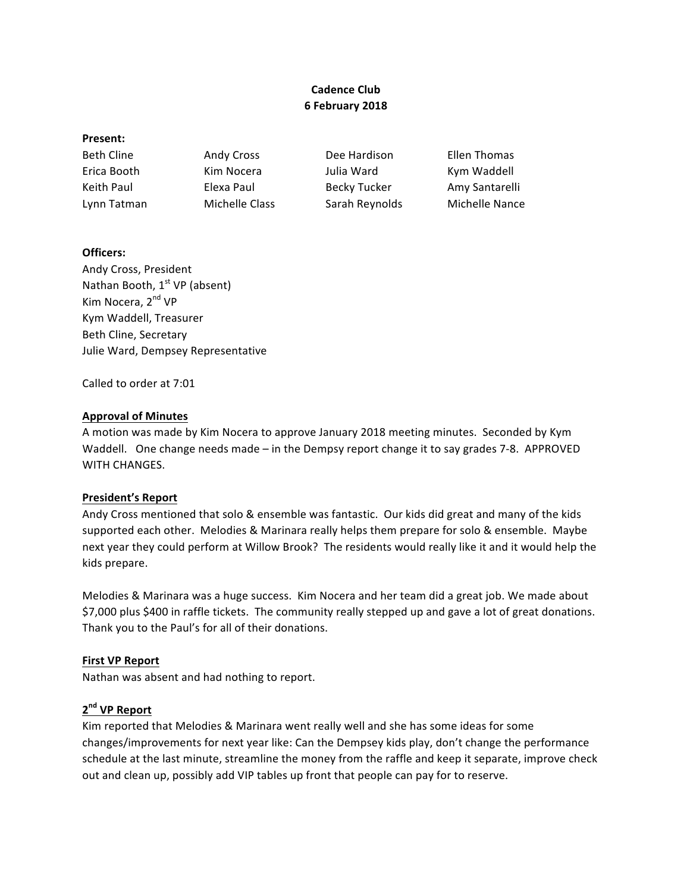# **Cadence Club 6 February 2018**

### **Present:**

Beth Cline **Andy Cross** Dee Hardison Ellen Thomas Erica Booth Kim Nocera Julia Ward Kym Waddell Keith Paul **Elexa Paul** Becky Tucker **Amy Santarelli** Lynn Tatman Michelle Class Sarah Reynolds Michelle Nance

## **Officers:**

Andy Cross, President Nathan Booth, 1<sup>st</sup> VP (absent) Kim Nocera, 2<sup>nd</sup> VP Kym Waddell, Treasurer Beth Cline, Secretary Julie Ward, Dempsey Representative

Called to order at 7:01

## **Approval of Minutes**

A motion was made by Kim Nocera to approve January 2018 meeting minutes. Seconded by Kym Waddell. One change needs made – in the Dempsy report change it to say grades 7-8. APPROVED WITH CHANGES.

## **President's Report**

Andy Cross mentioned that solo & ensemble was fantastic. Our kids did great and many of the kids supported each other. Melodies & Marinara really helps them prepare for solo & ensemble. Maybe next year they could perform at Willow Brook? The residents would really like it and it would help the kids prepare.

Melodies & Marinara was a huge success. Kim Nocera and her team did a great job. We made about \$7,000 plus \$400 in raffle tickets. The community really stepped up and gave a lot of great donations. Thank you to the Paul's for all of their donations.

## **First VP Report**

Nathan was absent and had nothing to report.

# **2nd VP Report**

Kim reported that Melodies & Marinara went really well and she has some ideas for some changes/improvements for next year like: Can the Dempsey kids play, don't change the performance schedule at the last minute, streamline the money from the raffle and keep it separate, improve check out and clean up, possibly add VIP tables up front that people can pay for to reserve.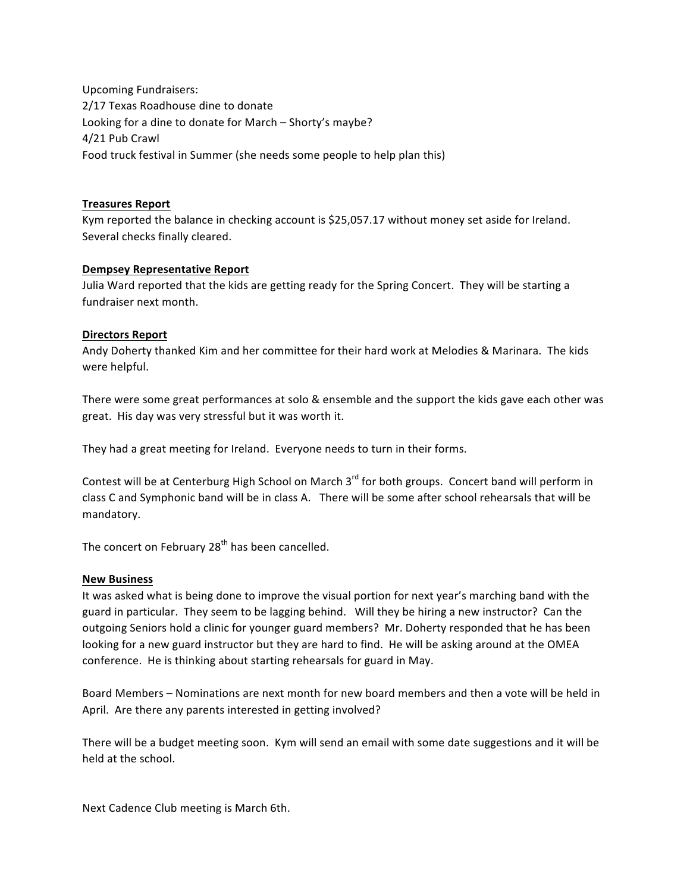Upcoming Fundraisers: 2/17 Texas Roadhouse dine to donate Looking for a dine to donate for March - Shorty's maybe? 4/21 Pub Crawl Food truck festival in Summer (she needs some people to help plan this)

### **Treasures Report**

Kym reported the balance in checking account is \$25,057.17 without money set aside for Ireland. Several checks finally cleared.

### **Dempsey Representative Report**

Julia Ward reported that the kids are getting ready for the Spring Concert. They will be starting a fundraiser next month.

### **Directors Report**

Andy Doherty thanked Kim and her committee for their hard work at Melodies & Marinara. The kids were helpful.

There were some great performances at solo & ensemble and the support the kids gave each other was great. His day was very stressful but it was worth it.

They had a great meeting for Ireland. Everyone needs to turn in their forms.

Contest will be at Centerburg High School on March 3<sup>rd</sup> for both groups. Concert band will perform in class C and Symphonic band will be in class A. There will be some after school rehearsals that will be mandatory. 

The concert on February  $28<sup>th</sup>$  has been cancelled.

### **New Business**

It was asked what is being done to improve the visual portion for next year's marching band with the guard in particular. They seem to be lagging behind. Will they be hiring a new instructor? Can the outgoing Seniors hold a clinic for younger guard members? Mr. Doherty responded that he has been looking for a new guard instructor but they are hard to find. He will be asking around at the OMEA conference. He is thinking about starting rehearsals for guard in May.

Board Members – Nominations are next month for new board members and then a vote will be held in April. Are there any parents interested in getting involved?

There will be a budget meeting soon. Kym will send an email with some date suggestions and it will be held at the school.

Next Cadence Club meeting is March 6th.